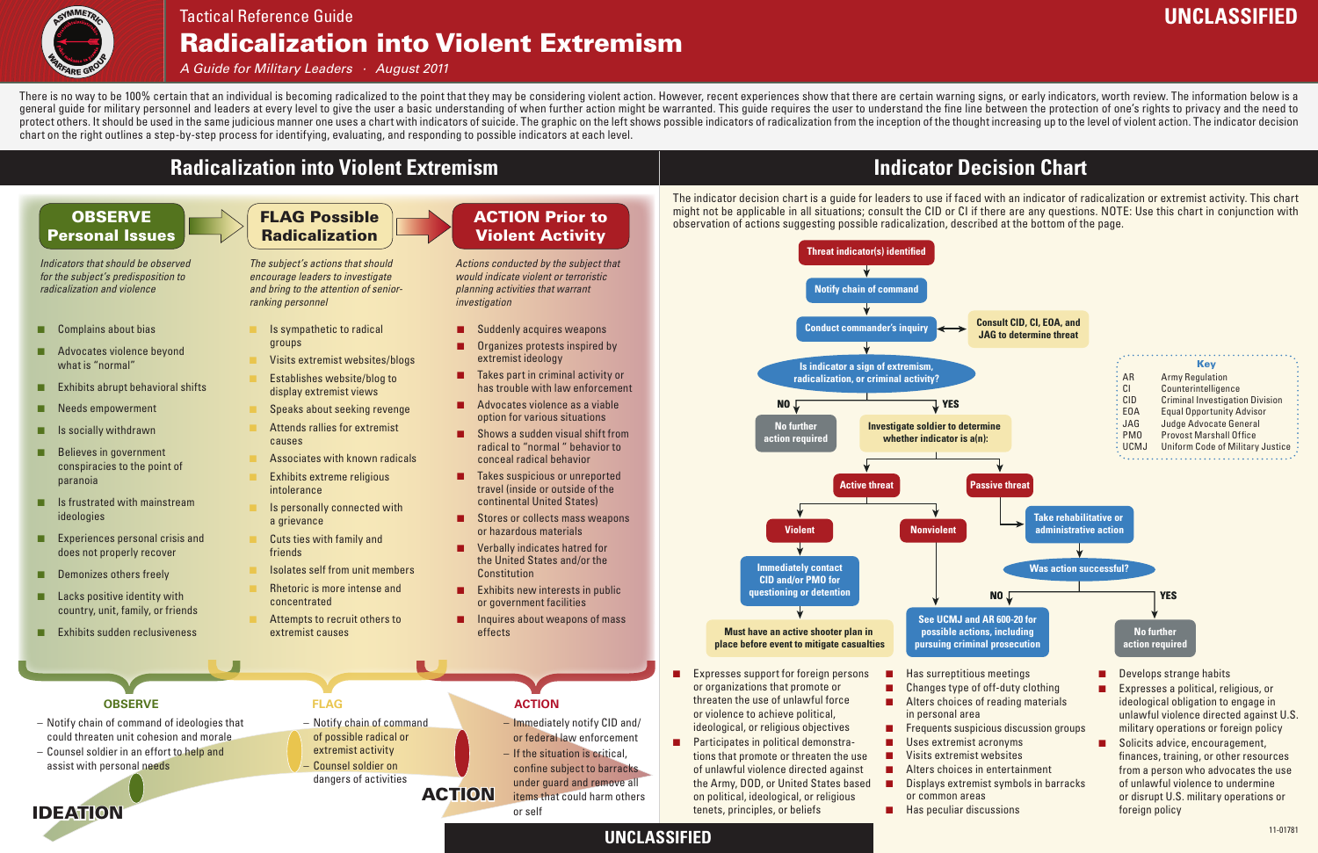## **Radicalization into Violent Extremism**



## Radicalization into Violent Extremism Tactical Reference Guide

#### **OBSERVE** Personal Issues

*A Guide for Military Leaders · August 2011*

ACTION Prior to

# Violent Activity

*Indicators that should be observed for the subject's predisposition to radicalization and violence*

- Complains about bias
- Advocates violence beyond what is "normal"
- Exhibits abrupt behavioral shifts
- Needs empowerment
- Is socially withdrawn
- Believes in government conspiracies to the point of paranoia
- Is frustrated with mainstream ideologies
- Experiences personal crisis and does not properly recover
- Demonizes others freely
- Lacks positive identity with country, unit, family, or friends
- Exhibits sudden reclusiveness

*Actions conducted by the subject that would indicate violent or terroristic planning activities that warrant investigation*

- Suddenly acquires weapons
- Organizes protests inspired by extremist ideology
- Takes part in criminal activity or has trouble with law enforcement
- Advocates violence as a viable option for various situations
- Shows a sudden visual shift from radical to "normal " behavior to conceal radical behavior
- Takes suspicious or unreported travel (inside or outside of the continental United States)
- Stores or collects mass weapons or hazardous materials
- **Verbally indicates hatred for** the United States and/or the **Constitution**
- Exhibits new interests in public or government facilities
- Inquires about weapons of mass effects

## FLAG Possible Radicalization

*The subject's actions that should encourage leaders to investigate and bring to the attention of seniorranking personnel*

- Is sympathetic to radical groups
- Visits extremist websites/blogs
- Establishes website/blog to display extremist views
- Speaks about seeking revenge
- Attends rallies for extremist causes
- Associates with known radicals
- Exhibits extreme religious intolerance
- Is personally connected with a grievance
- Cuts ties with family and friends
- Isolates self from unit members
- Rhetoric is more intense and concentrated
- Attempts to recruit others to extremist causes

#### **OBSERVE FLAG ACTION**

## **Indicator Decision Chart**

IDEATION

ACTION

- Immediately notify CID and/ or federal law enforcement
- If the situation is critical, confine subject to barracks under guard and remove all items that could harm others or self

There is no way to be 100% certain that an individual is becoming radicalized to the point that they may be considering violent action. However, recent experiences show that there are certain warning signs, or early indica general quide for military personnel and leaders at every level to give the user a basic understanding of when further action might be warranted. This guide requires the user to understand the fine line between the protect protect others. It should be used in the same judicious manner one uses a chart with indicators of suicide. The graphic on the left shows possible indicators of radicalization from the inception of the thought increasing u chart on the right outlines a step-by-step process for identifying, evaluating, and responding to possible indicators at each level.

- Notify chain of command of ideologies that could threaten unit cohesion and morale
- Counsel soldier in an effort to help and assist with personal needs

– Notify chain of command of possible radical or extremist activity – Counsel soldier on

## dangers of activities



The indicator decision chart is a guide for leaders to use if faced with an indicator of radicalization or extremist activity. This chart might not be applicable in all situations; consult the CID or CI if there are any questions. NOTE: Use this chart in conjunction with observation of actions suggesting possible radicalization, described at the bottom of the page.

## **UNCLASSIFIED**

## **UNCLASSIFIED**